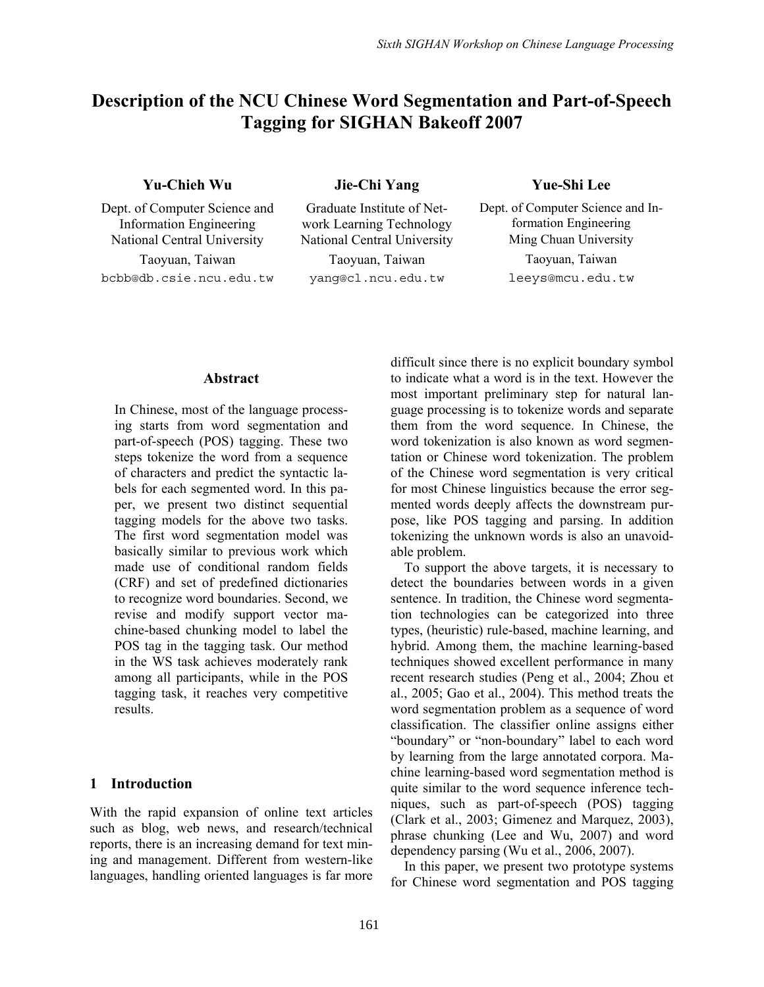# **Description of the NCU Chinese Word Segmentation and Part-of-Speech Tagging for SIGHAN Bakeoff 2007**

## **Yu-Chieh Wu Jie-Chi Yang Yue-Shi Lee**

Dept. of Computer Science and Information Engineering

bcbb@db.csie.ncu.edu.tw yang@cl.ncu.edu.tw leeys@mcu.edu.tw

Graduate Institute of Network Learning Technology

Dept. of Computer Science and Information Engineering National Central University National Central University Ming Chuan University Taoyuan, Taiwan Taoyuan, Taiwan Taoyuan, Taiwan

#### **Abstract**

In Chinese, most of the language processing starts from word segmentation and part-of-speech (POS) tagging. These two steps tokenize the word from a sequence of characters and predict the syntactic labels for each segmented word. In this paper, we present two distinct sequential tagging models for the above two tasks. The first word segmentation model was basically similar to previous work which made use of conditional random fields (CRF) and set of predefined dictionaries to recognize word boundaries. Second, we revise and modify support vector machine-based chunking model to label the POS tag in the tagging task. Our method in the WS task achieves moderately rank among all participants, while in the POS tagging task, it reaches very competitive results.

## **1 Introduction**

With the rapid expansion of online text articles such as blog, web news, and research/technical reports, there is an increasing demand for text mining and management. Different from western-like languages, handling oriented languages is far more difficult since there is no explicit boundary symbol to indicate what a word is in the text. However the most important preliminary step for natural language processing is to tokenize words and separate them from the word sequence. In Chinese, the word tokenization is also known as word segmentation or Chinese word tokenization. The problem of the Chinese word segmentation is very critical for most Chinese linguistics because the error segmented words deeply affects the downstream purpose, like POS tagging and parsing. In addition tokenizing the unknown words is also an unavoidable problem.

To support the above targets, it is necessary to detect the boundaries between words in a given sentence. In tradition, the Chinese word segmentation technologies can be categorized into three types, (heuristic) rule-based, machine learning, and hybrid. Among them, the machine learning-based techniques showed excellent performance in many recent research studies (Peng et al., 2004; Zhou et al., 2005; Gao et al., 2004). This method treats the word segmentation problem as a sequence of word classification. The classifier online assigns either "boundary" or "non-boundary" label to each word by learning from the large annotated corpora. Machine learning-based word segmentation method is quite similar to the word sequence inference techniques, such as part-of-speech (POS) tagging (Clark et al., 2003; Gimenez and Marquez, 2003), phrase chunking (Lee and Wu, 2007) and word dependency parsing (Wu et al., 2006, 2007).

In this paper, we present two prototype systems for Chinese word segmentation and POS tagging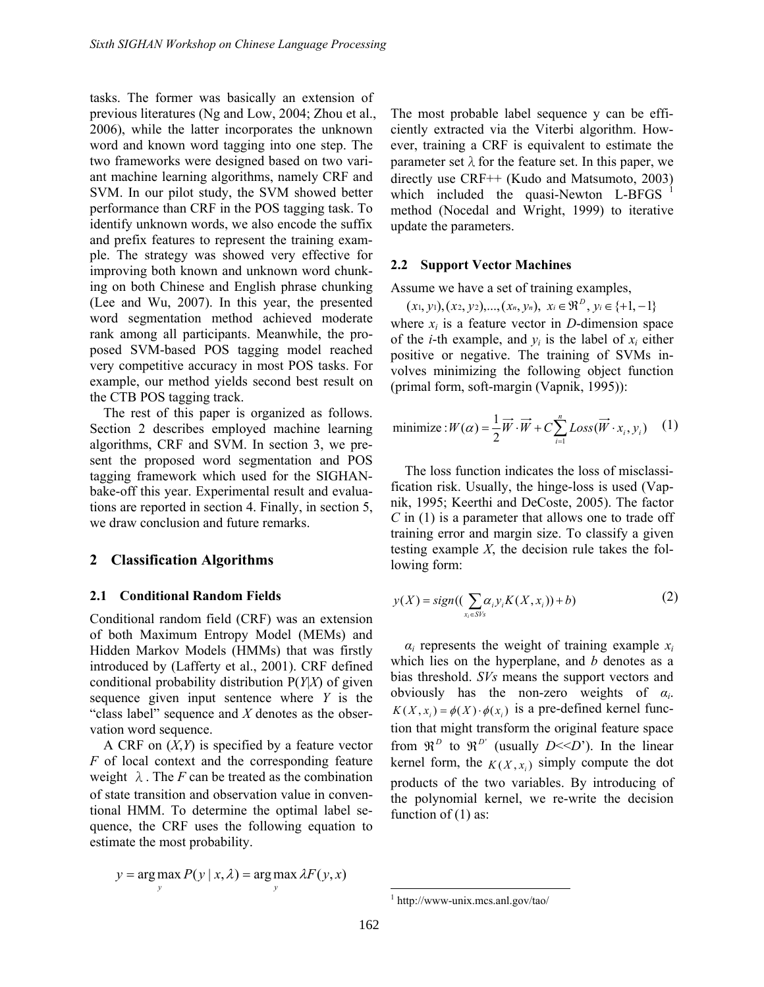tasks. The former was basically an extension of previous literatures (Ng and Low, 2004; Zhou et al., 2006), while the latter incorporates the unknown word and known word tagging into one step. The two frameworks were designed based on two variant machine learning algorithms, namely CRF and SVM. In our pilot study, the SVM showed better performance than CRF in the POS tagging task. To identify unknown words, we also encode the suffix and prefix features to represent the training example. The strategy was showed very effective for improving both known and unknown word chunking on both Chinese and English phrase chunking (Lee and Wu, 2007). In this year, the presented word segmentation method achieved moderate rank among all participants. Meanwhile, the proposed SVM-based POS tagging model reached very competitive accuracy in most POS tasks. For example, our method yields second best result on the CTB POS tagging track.

The rest of this paper is organized as follows. Section 2 describes employed machine learning algorithms, CRF and SVM. In section 3, we present the proposed word segmentation and POS tagging framework which used for the SIGHANbake-off this year. Experimental result and evaluations are reported in section 4. Finally, in section 5, we draw conclusion and future remarks.

#### **2 Classification Algorithms**

#### **2.1 Conditional Random Fields**

Conditional random field (CRF) was an extension of both Maximum Entropy Model (MEMs) and Hidden Markov Models (HMMs) that was firstly introduced by (Lafferty et al., 2001). CRF defined conditional probability distribution P(*Y*|*X*) of given sequence given input sentence where *Y* is the "class label" sequence and *X* denotes as the observation word sequence.

A CRF on (*X*,*Y*) is specified by a feature vector *F* of local context and the corresponding feature weight  $\lambda$ . The *F* can be treated as the combination of state transition and observation value in conventional HMM. To determine the optimal label sequence, the CRF uses the following equation to estimate the most probability.

$$
y = \arg \max_{y} P(y | x, \lambda) = \arg \max_{y} \lambda F(y, x)
$$

The most probable label sequence y can be efficiently extracted via the Viterbi algorithm. However, training a CRF is equivalent to estimate the parameter set  $\lambda$  for the feature set. In this paper, we directly use CRF++ (Kudo and Matsumoto, 2003) which included the quasi-Newton L-BFGS  $<sup>1</sup>$ </sup> method (Nocedal and Wright, 1999) to iterative update the parameters.

#### **2.2 Support Vector Machines**

Assume we have a set of training examples,

 $(x_1, y_1), (x_2, y_2), ..., (x_n, y_n), x_i \in \mathbb{R}^D, y_i \in \{+1, -1\}$ where  $x_i$  is a feature vector in *D*-dimension space of the *i*-th example, and  $y_i$  is the label of  $x_i$  either positive or negative. The training of SVMs involves minimizing the following object function (primal form, soft-margin (Vapnik, 1995)):

minimize: 
$$
W(\alpha) = \frac{1}{2} \overrightarrow{W} \cdot \overrightarrow{W} + C \sum_{i=1}^{n} Loss(\overrightarrow{W} \cdot x_i, y_i)
$$
 (1)

The loss function indicates the loss of misclassification risk. Usually, the hinge-loss is used (Vapnik, 1995; Keerthi and DeCoste, 2005). The factor *C* in (1) is a parameter that allows one to trade off training error and margin size. To classify a given testing example *X*, the decision rule takes the following form:

$$
y(X) = sign((\sum_{x_i \in SV_S} \alpha_i y_i K(X, x_i)) + b)
$$
 (2)

 $\alpha_i$  represents the weight of training example  $x_i$ which lies on the hyperplane, and *b* denotes as a bias threshold. *SVs* means the support vectors and obviously has the non-zero weights of *αi*.  $K(X, x_i) = \phi(X) \cdot \phi(x_i)$  is a pre-defined kernel function that might transform the original feature space from  $\mathfrak{R}^D$  to  $\mathfrak{R}^{D'}$  (usually  $D \le D'$ ). In the linear kernel form, the  $K(X, x_i)$  simply compute the dot products of the two variables. By introducing of the polynomial kernel, we re-write the decision function of  $(1)$  as:

 1 http://www-unix.mcs.anl.gov/tao/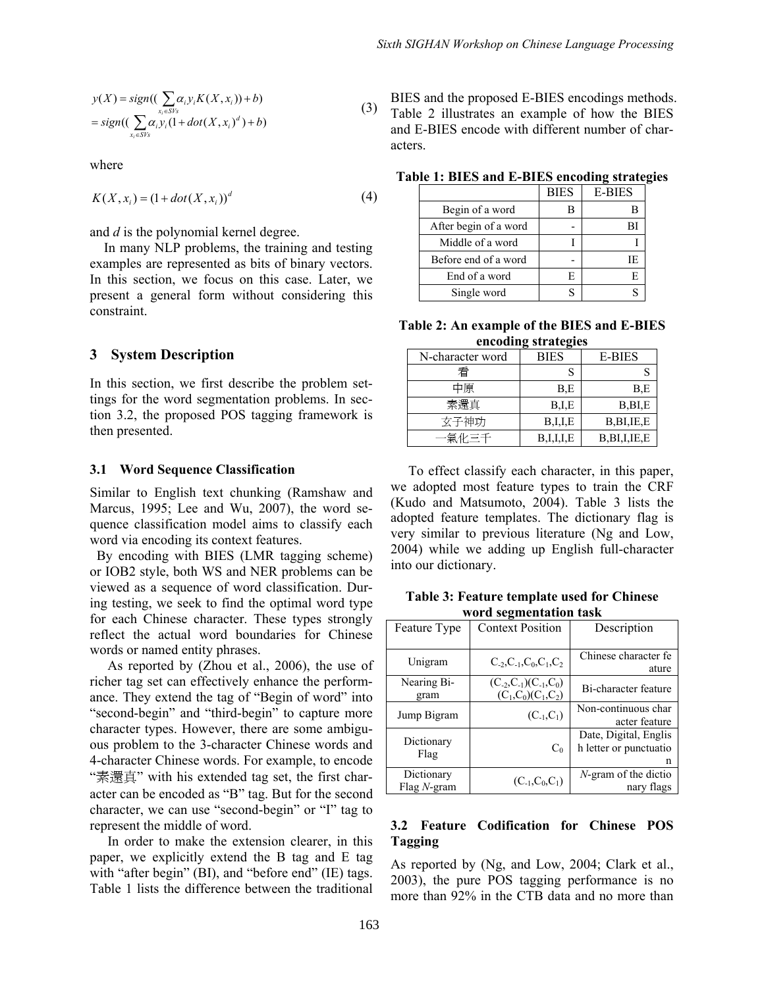$$
y(X) = sign((\sum_{x_i \in S} \alpha_i y_i K(X, x_i)) + b)
$$
  
= sign((\sum\_{x\_i \in S} \alpha\_i y\_i (1 + dot(X, x\_i)^d) + b) (3)

where

$$
K(X, x_i) = (1 + dot(X, x_i))^d
$$
 (4)

and *d* is the polynomial kernel degree.

In many NLP problems, the training and testing examples are represented as bits of binary vectors. In this section, we focus on this case. Later, we present a general form without considering this constraint.

## **3 System Description**

In this section, we first describe the problem settings for the word segmentation problems. In section 3.2, the proposed POS tagging framework is then presented.

#### **3.1 Word Sequence Classification**

Similar to English text chunking (Ramshaw and Marcus, 1995; Lee and Wu, 2007), the word sequence classification model aims to classify each word via encoding its context features.

 By encoding with BIES (LMR tagging scheme) or IOB2 style, both WS and NER problems can be viewed as a sequence of word classification. During testing, we seek to find the optimal word type for each Chinese character. These types strongly reflect the actual word boundaries for Chinese words or named entity phrases.

As reported by (Zhou et al., 2006), the use of richer tag set can effectively enhance the performance. They extend the tag of "Begin of word" into "second-begin" and "third-begin" to capture more character types. However, there are some ambiguous problem to the 3-character Chinese words and 4-character Chinese words. For example, to encode "素還真" with his extended tag set, the first character can be encoded as "B" tag. But for the second character, we can use "second-begin" or "I" tag to represent the middle of word.

In order to make the extension clearer, in this paper, we explicitly extend the B tag and E tag with "after begin" (BI), and "before end" (IE) tags. Table 1 lists the difference between the traditional

 (3) BIES and the proposed E-BIES encodings methods. Table 2 illustrates an example of how the BIES and E-BIES encode with different number of characters.

|                       | <b>BIES</b> | <b>E-BIES</b> |
|-----------------------|-------------|---------------|
| Begin of a word       |             |               |
| After begin of a word |             | вı            |
| Middle of a word      |             |               |
| Before end of a word  |             | IE            |
| End of a word         | F.          | E             |
| Single word           |             |               |

**Table 1: BIES and E-BIES encoding strategies** 

**Table 2: An example of the BIES and E-BIES encoding strategies** 

| N-character word | BIES      | <b>E-BIES</b>   |  |
|------------------|-----------|-----------------|--|
| 看                |           |                 |  |
| 中原               | B.E       | B.E             |  |
| 素還真              | B,I,E     | B, BI, E        |  |
| 玄子神功             | B,I,I,E   | B, BI, IE, E    |  |
| -- 氩 化 三 千       | B,I,I,I,E | B, BI, I, IE, E |  |

To effect classify each character, in this paper, we adopted most feature types to train the CRF (Kudo and Matsumoto, 2004). Table 3 lists the adopted feature templates. The dictionary flag is very similar to previous literature (Ng and Low, 2004) while we adding up English full-character into our dictionary.

|                        | Table 3: Feature template used for Chinese |  |  |  |
|------------------------|--------------------------------------------|--|--|--|
| word segmentation task |                                            |  |  |  |

| Feature Type                        | <b>Context Position</b>                          | Description                                          |  |
|-------------------------------------|--------------------------------------------------|------------------------------------------------------|--|
| Unigram                             | $C_2, C_1, C_0, C_1, C_2$                        | Chinese character fe<br>ature                        |  |
| Nearing Bi-<br>gram                 | $(C_2, C_1)(C_1, C_0)$<br>$(C_1, C_0)(C_1, C_2)$ | Bi-character feature                                 |  |
| Jump Bigram                         | $(C_{-1}, C_1)$                                  | Non-continuous char<br>acter feature                 |  |
| Dictionary<br>Flag                  | $C_0$                                            | Date, Digital, Englis<br>h letter or punctuatio<br>n |  |
| Dictionary<br>$Flag$ <i>N</i> -gram | $(C_{-1}, C_0, C_1)$                             | $N$ -gram of the dictio<br>nary flags                |  |

## **3.2 Feature Codification for Chinese POS Tagging**

As reported by (Ng, and Low, 2004; Clark et al., 2003), the pure POS tagging performance is no more than 92% in the CTB data and no more than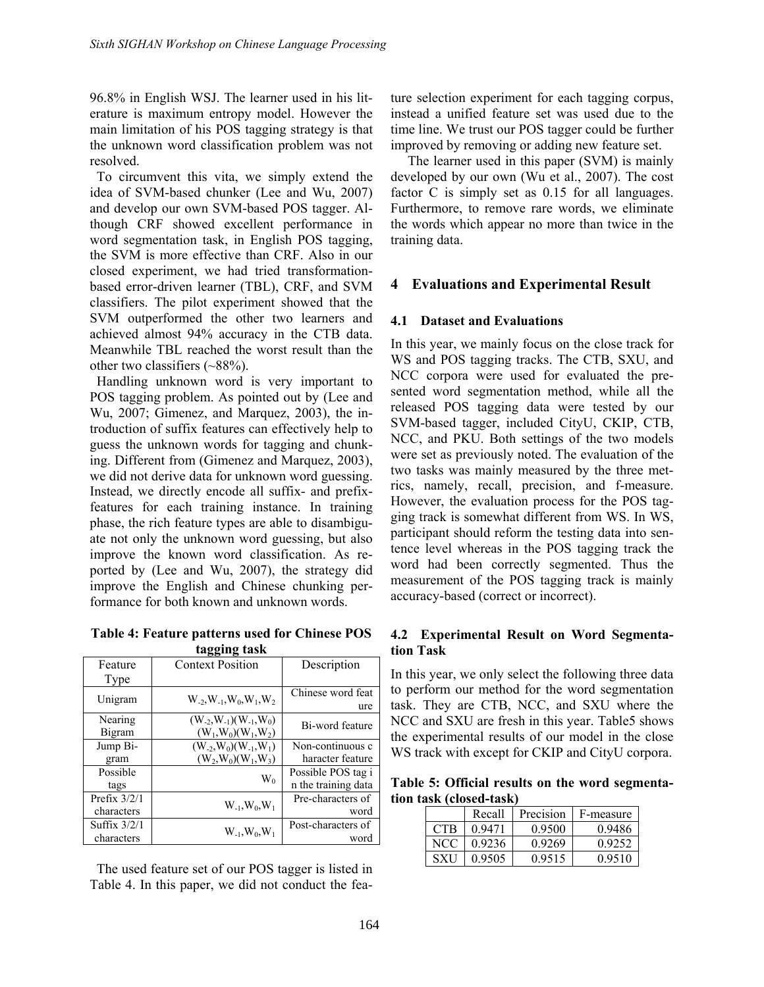96.8% in English WSJ. The learner used in his literature is maximum entropy model. However the main limitation of his POS tagging strategy is that the unknown word classification problem was not resolved.

 To circumvent this vita, we simply extend the idea of SVM-based chunker (Lee and Wu, 2007) and develop our own SVM-based POS tagger. Although CRF showed excellent performance in word segmentation task, in English POS tagging, the SVM is more effective than CRF. Also in our closed experiment, we had tried transformationbased error-driven learner (TBL), CRF, and SVM classifiers. The pilot experiment showed that the SVM outperformed the other two learners and achieved almost 94% accuracy in the CTB data. Meanwhile TBL reached the worst result than the other two classifiers (~88%).

 Handling unknown word is very important to POS tagging problem. As pointed out by (Lee and Wu, 2007; Gimenez, and Marquez, 2003), the introduction of suffix features can effectively help to guess the unknown words for tagging and chunking. Different from (Gimenez and Marquez, 2003), we did not derive data for unknown word guessing. Instead, we directly encode all suffix- and prefixfeatures for each training instance. In training phase, the rich feature types are able to disambiguate not only the unknown word guessing, but also improve the known word classification. As reported by (Lee and Wu, 2007), the strategy did improve the English and Chinese chunking performance for both known and unknown words.

**Table 4: Feature patterns used for Chinese POS tagging task** 

| $\ldots$       |                                             |                     |  |  |
|----------------|---------------------------------------------|---------------------|--|--|
| Feature        | <b>Context Position</b>                     | Description         |  |  |
| Type           |                                             |                     |  |  |
| Unigram        | $W_{-2}$ , $W_{-1}$ , $W_0$ , $W_1$ , $W_2$ | Chinese word feat   |  |  |
|                |                                             | ure                 |  |  |
| Nearing        | $(W_{-2}, W_{-1})$ $(W_{-1}, W_0)$          | Bi-word feature     |  |  |
| Bigram         | $(W_1, W_0)(W_1, W_2)$                      |                     |  |  |
| Jump Bi-       | $(W_{-2}, W_0)(W_{-1}, W_1)$                | Non-continuous c    |  |  |
| gram           | $(W_2, W_0)(W_1, W_3)$                      | haracter feature    |  |  |
| Possible       | $W_0$                                       | Possible POS tag i  |  |  |
| tags           |                                             | n the training data |  |  |
| Prefix $3/2/1$ |                                             | Pre-characters of   |  |  |
| characters     | $W_{-1}, W_0, W_1$                          | word                |  |  |
| Suffix $3/2/1$ |                                             | Post-characters of  |  |  |
| characters     | $W_{-1}, W_0, W_1$                          | word                |  |  |

 The used feature set of our POS tagger is listed in Table 4. In this paper, we did not conduct the feature selection experiment for each tagging corpus, instead a unified feature set was used due to the time line. We trust our POS tagger could be further improved by removing or adding new feature set.

 The learner used in this paper (SVM) is mainly developed by our own (Wu et al., 2007). The cost factor C is simply set as 0.15 for all languages. Furthermore, to remove rare words, we eliminate the words which appear no more than twice in the training data.

## **4 Evaluations and Experimental Result**

### **4.1 Dataset and Evaluations**

In this year, we mainly focus on the close track for WS and POS tagging tracks. The CTB, SXU, and NCC corpora were used for evaluated the presented word segmentation method, while all the released POS tagging data were tested by our SVM-based tagger, included CityU, CKIP, CTB, NCC, and PKU. Both settings of the two models were set as previously noted. The evaluation of the two tasks was mainly measured by the three metrics, namely, recall, precision, and f-measure. However, the evaluation process for the POS tagging track is somewhat different from WS. In WS, participant should reform the testing data into sentence level whereas in the POS tagging track the word had been correctly segmented. Thus the measurement of the POS tagging track is mainly accuracy-based (correct or incorrect).

## **4.2 Experimental Result on Word Segmentation Task**

In this year, we only select the following three data to perform our method for the word segmentation task. They are CTB, NCC, and SXU where the NCC and SXU are fresh in this year. Table5 shows the experimental results of our model in the close WS track with except for CKIP and CityU corpora.

**Table 5: Official results on the word segmentation task (closed-task)** 

|            | Recall | Precision | F-measure |
|------------|--------|-----------|-----------|
| <b>CTR</b> | 0.9471 | 0.9500    | 0.9486    |
| NCC        | 0.9236 | 0.9269    | 0.9252    |
| <b>SXU</b> | 0.9505 | 0.9515    | 0.9510    |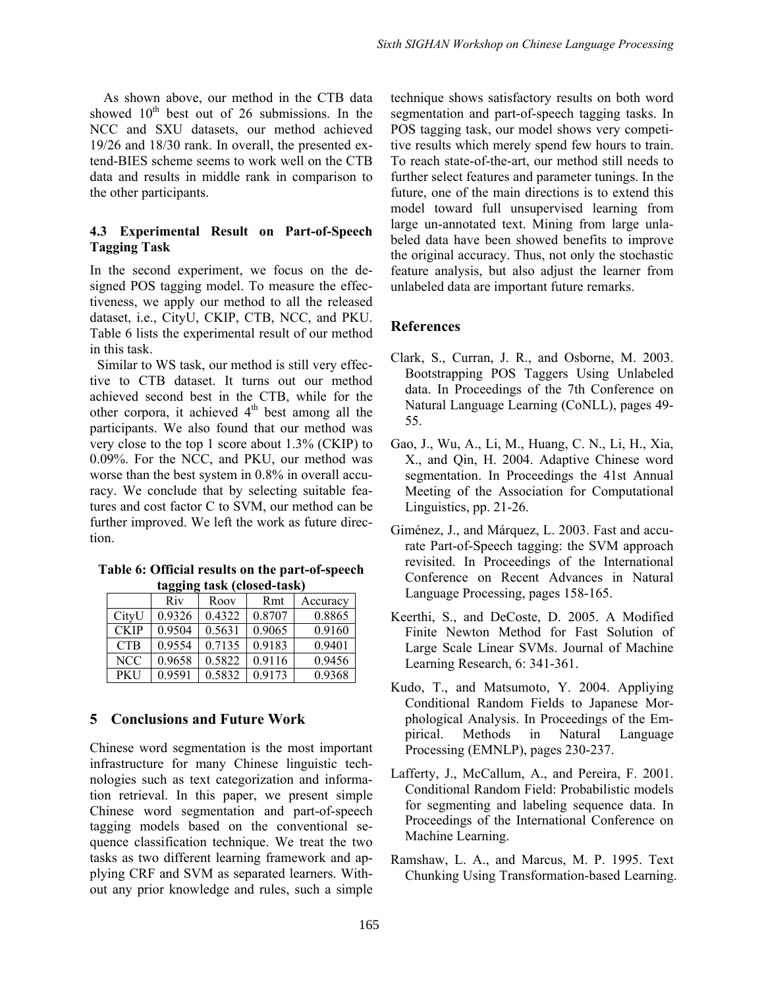As shown above, our method in the CTB data showed  $10<sup>th</sup>$  best out of 26 submissions. In the NCC and SXU datasets, our method achieved 19/26 and 18/30 rank. In overall, the presented extend-BIES scheme seems to work well on the CTB data and results in middle rank in comparison to the other participants.

## **4.3 Experimental Result on Part-of-Speech Tagging Task**

In the second experiment, we focus on the designed POS tagging model. To measure the effectiveness, we apply our method to all the released dataset, i.e., CityU, CKIP, CTB, NCC, and PKU. Table 6 lists the experimental result of our method in this task.

 Similar to WS task, our method is still very effective to CTB dataset. It turns out our method achieved second best in the CTB, while for the other corpora, it achieved  $4<sup>th</sup>$  best among all the participants. We also found that our method was very close to the top 1 score about 1.3% (CKIP) to 0.09%. For the NCC, and PKU, our method was worse than the best system in 0.8% in overall accuracy. We conclude that by selecting suitable features and cost factor C to SVM, our method can be further improved. We left the work as future direction.

**Table 6: Official results on the part-of-speech tagging task (closed-task)**

| <br>$\cdots$ |        |        |        |          |
|--------------|--------|--------|--------|----------|
|              | Riv    | Roov   | Rmt    | Accuracy |
| CityU        | 0.9326 | 0.4322 | 0.8707 | 0.8865   |
| <b>CKIP</b>  | 0.9504 | 0.5631 | 0.9065 | 0.9160   |
| <b>CTB</b>   | 0.9554 | 0.7135 | 0.9183 | 0.9401   |
| <b>NCC</b>   | 0.9658 | 0.5822 | 0.9116 | 0.9456   |
| <b>PKU</b>   | 0.9591 | 0.5832 | 0.9173 | 0.9368   |

## **5 Conclusions and Future Work**

Chinese word segmentation is the most important infrastructure for many Chinese linguistic technologies such as text categorization and information retrieval. In this paper, we present simple Chinese word segmentation and part-of-speech tagging models based on the conventional sequence classification technique. We treat the two tasks as two different learning framework and applying CRF and SVM as separated learners. Without any prior knowledge and rules, such a simple technique shows satisfactory results on both word segmentation and part-of-speech tagging tasks. In POS tagging task, our model shows very competitive results which merely spend few hours to train. To reach state-of-the-art, our method still needs to further select features and parameter tunings. In the future, one of the main directions is to extend this model toward full unsupervised learning from large un-annotated text. Mining from large unlabeled data have been showed benefits to improve the original accuracy. Thus, not only the stochastic feature analysis, but also adjust the learner from unlabeled data are important future remarks.

## **References**

- Clark, S., Curran, J. R., and Osborne, M. 2003. Bootstrapping POS Taggers Using Unlabeled data. In Proceedings of the 7th Conference on Natural Language Learning (CoNLL), pages 49- 55.
- Gao, J., Wu, A., Li, M., Huang, C. N., Li, H., Xia, X., and Qin, H. 2004. Adaptive Chinese word segmentation. In Proceedings the 41st Annual Meeting of the Association for Computational Linguistics, pp. 21-26.
- Giménez, J., and Márquez, L. 2003. Fast and accurate Part-of-Speech tagging: the SVM approach revisited. In Proceedings of the International Conference on Recent Advances in Natural Language Processing, pages 158-165.
- Keerthi, S., and DeCoste, D. 2005. A Modified Finite Newton Method for Fast Solution of Large Scale Linear SVMs. Journal of Machine Learning Research, 6: 341-361.
- Kudo, T., and Matsumoto, Y. 2004. Appliying Conditional Random Fields to Japanese Morphological Analysis. In Proceedings of the Empirical. Methods in Natural Language Processing (EMNLP), pages 230-237.
- Lafferty, J., McCallum, A., and Pereira, F. 2001. Conditional Random Field: Probabilistic models for segmenting and labeling sequence data. In Proceedings of the International Conference on Machine Learning.
- Ramshaw, L. A., and Marcus, M. P. 1995. Text Chunking Using Transformation-based Learning.